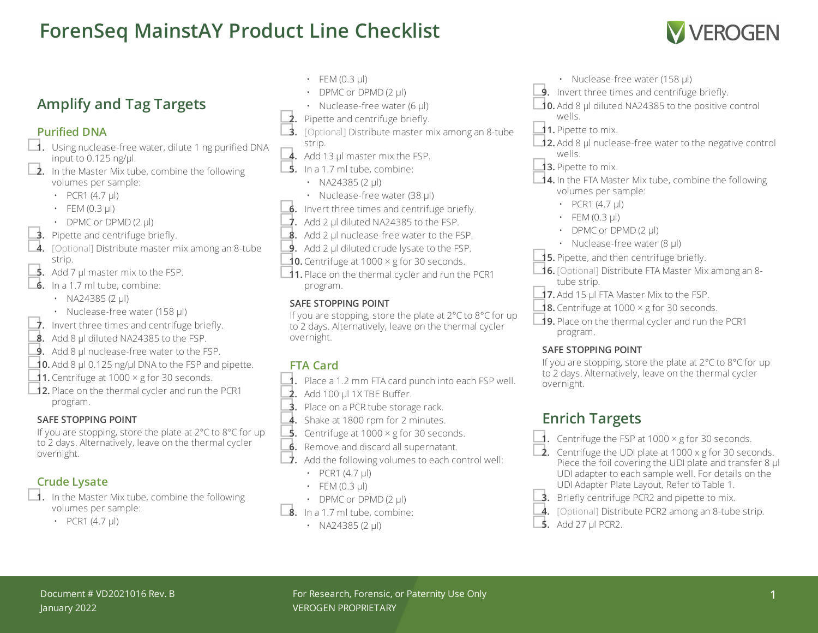# **ForenSeq MainstAY Product Line Checklist**



# **Amplify and Tag Targets**

### **Purified DNA**

- □**1.** Using nuclease-free water, dilute <sup>1</sup> ng purified DNA input to 0.125 ng/ $\mu$ l.<br> **2.** In the Master Mix tube, combine the following
	- volumes per sample:
		- PCR1  $(4.7 \text{ µ})$
		- $\cdot$  FEM (0.3 µl)
		-
		-
- DPMC or DPMD (2 µl)<br> **3.** Pipette and centrifuge briefly.<br> **4.** [Optional] Distribute master mix among an 8-tube strip.<br> **5.** Add 7 µl master mix to the FSP.
- 
- □**6.** In <sup>a</sup> 1.7 ml tube, combine:
	- NA24385 (2 ul)
	-
- Nuclease-free water (158 µl)<br> **7.** Invert three times and centrifuge briefly.<br> **8.** Add 8 µl diluted NA24385 to the FSP.
- 
- **9.** Add 8 µl nuclease-free water to the FSP.
- **10.** Add 8  $\mu$ l 0.125 ng/ $\mu$ l DNA to the FSP and pipette.<br>**11.** Centrifuge at 1000 × g for 30 seconds.
- 
- **□12.** Place on the thermal cycler and run the PCR1 program.

#### **SAFE STOPPING POINT**

If you are stopping, store the plate at 2°C to 8°C for up to 2 days. Alternatively, leave on the thermal cycler overnight.

- **Crude Lysate**<br>□ **1.** In the Master Mix tube, combine the following volumes per sample:
	- PCR1  $(4.7 \mu l)$
- $\cdot$  FEM (0.3 µl)
- DPMC or DPMD (2 µl)
- 
- 
- Nuclease-free water (6 µl)<br> **2.** Pipette and centrifuge briefly.<br> **3.** [Optional] Distribute master mix among an 8-tube
- 
- strip.<br> **4.** Add 13 µl master mix the FSP.
- $\overline{\phantom{a}}$ **5.** In a 1.7 ml tube, combine:
	- NA24385 (2  $\mu$ l)
	-
- Nuclease-free water (38 µl)<br>■**6.** Invert three times and centrifuge briefly.<br>■**7.** Add 2 µl diluted NA24385 to the FSP.
- 
- 8. Add 2 µl nuclease-free water to the FSP.
- **9.** Add 2 µl diluted crude lysate to the FSP.
- **10.** Centrifuge at 1000  $\times$  g for 30 seconds.
- □**11.** Place on the thermal cycler and run the PCR1 program.

### **SAFE STOPPING POINT**

If you are stopping, store the plate at 2°C to 8°C for up to 2 days. Alternatively, leave on the thermal cycler overnight.

## **FTA Card**

- □**1.** Place <sup>a</sup> 1.2 mm FTA card punch into each FSP well.
- □**2.** Add <sup>100</sup> µl 1X TBE Buffer.
- **3.** Place on a PCR tube storage rack.
- 4. Shake at 1800 rpm for 2 minutes.
- **5.** Centrifuge at  $1000 \times g$  for 30 seconds.
- **6.** Remove and discard all supernatant.<br>■ **7.** Add the following volumes to each control well:
- - PCR1  $(4.7 \mu l)$
	- $\cdot$  FEM (0.3 µl)
- DPMC or DPMD  $(2 \mu l)$ <br>**8.** In a 1.7 ml tube, combine:
- - NA24385 (2 µl)
- 
- Nuclease-free water (158 µl)<br>■**9.** Invert three times and centrifuge briefly.<br>■ **10.** Add 8 µl diluted NA24385 to the positive control
- wells.
- □**11.** Pipette to mix.
- □**12.** Add <sup>8</sup> µl nuclease-free water to the negative control wells.
- □**13.** Pipette to mix.
- **□14.** In the FTA Master Mix tube, combine the following volumes per sample:
	- PCR1  $(4.7 \text{ µ})$
	- $\cdot$  FEM (0.3 µl)
	- DPMC or DPMD (2 µl)
	- Nuclease-free water (8 µl)
- 
- **15.** Pipette, and then centrifuge briefly.<br>■**16.** [Optional] Distribute FTA Master Mix among an 8tube strip.<br>1**7.** Add 15 µl FTA Master Mix to the FSP.
- 
- **18.** Centrifuge at  $1000 \times g$  for 30 seconds.
- □**19.** Place on the thermal cycler and run the PCR1 program.

#### **SAFE STOPPING POINT**

If you are stopping, store the plate at 2°C to 8°C for up to 2 days. Alternatively, leave on the thermal cycler overnight.

# **Enrich Targets**

- **1.** Centrifuge the FSP at 1000  $\times$  g for 30 seconds.
- □**2.** Centrifuge the UDI plate at <sup>1000</sup> <sup>x</sup> <sup>g</sup> for <sup>30</sup> seconds. Piece the foil covering the UDI plate and transfer 8  $\mu$ l UDI adapter to each sample well. For details on the UDI Adapter Plate Layout, Refer to Table 1.
- **3.** Briefly centrifuge PCR2 and pipette to mix.
- □**4.** [Optional] Distribute PCR2 among an 8-tube strip. □**5.** Add <sup>27</sup> µl PCR2.
-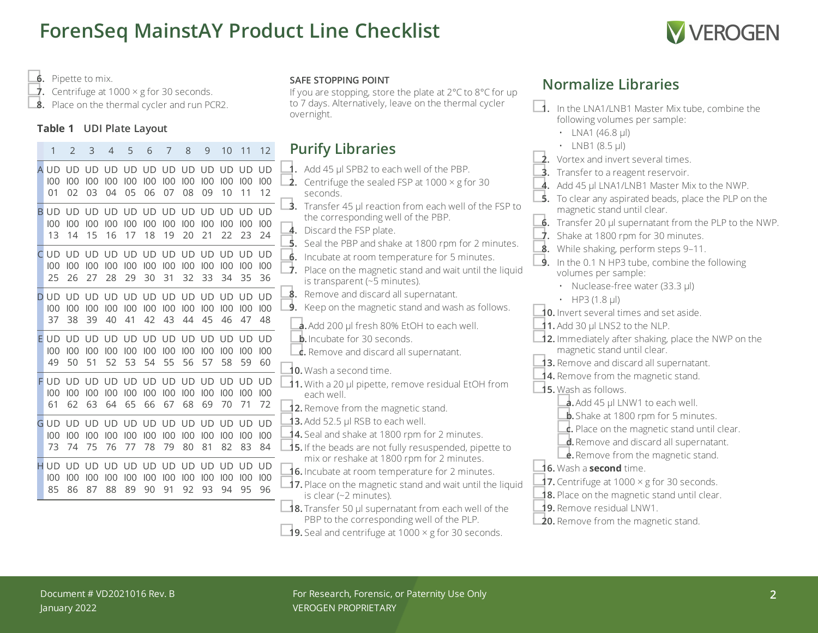# **ForenSeq MainstAY Product Line Checklist**



**Normalize Libraries**

<span id="page-1-1"></span><span id="page-1-0"></span>• LNA1 (46.8  $\mu$ I) • LNB1 (8.5 ul)

following volumes per sample:

□**1.** In the LNA1/LNB1 Master Mix tube, combine the

□**6.** Pipette to mix.

**7.** Centrifuge at 1000  $\times$  g for 30 seconds.

**8.** Place on the thermal cycler and run PCR2.

1 2 3 4 5 6 7 8 9 10 11 12

#### **Table 1 UDI Plate Layout**

|               |    |                                                                              | . C | $\circ$ |  | $\sqrt{2}$ or $\sqrt{2}$ ivitating the set |  | <b>FULLITY LIDIGHTS</b>                                                                                                                                                                    | $\overline{2}$ . Vortex and invert several times.                                                                                                                                                    |
|---------------|----|------------------------------------------------------------------------------|-----|---------|--|--------------------------------------------|--|--------------------------------------------------------------------------------------------------------------------------------------------------------------------------------------------|------------------------------------------------------------------------------------------------------------------------------------------------------------------------------------------------------|
| $100 -$<br>01 |    | A UD UD UD UD UD UD UD UD UD UD UD UD<br>02 03 04 05 06 07 08 09 10 11 12    |     |         |  |                                            |  | $\blacktriangleleft$ . Add 45 µl SPB2 to each well of the PBP.<br>$\mathcal{P}$<br>Centrifuge the sealed FSP at $1000 \times g$ for 30<br>seconds.                                         | Transfer to a reagent reservoir.<br>4. Add 45 µl LNA1/LNB1 Master Mix to the NWP.<br>To clear any aspirated beads, place the PLP on the                                                              |
| 100<br>13     |    | B UD UD UD UD UD UD UD UD UD UD UD UD UD<br>14 15 16 17 18 19 20 21 22 23 24 |     |         |  |                                            |  | _3.<br>Transfer 45 µl reaction from each well of the FSP to<br>the corresponding well of the PBP.<br>4. Discard the FSP plate.<br>Seal the PBP and shake at 1800 rpm for 2 minutes.<br>-5. | magnetic stand until clear.<br>$\dot{\mathbf{6}}$ . Transfer 20 µl supernatant from the PLP to the NWP.<br>Shake at 1800 rpm for 30 minutes.                                                         |
| $100 -$<br>25 |    | CUD UD UD UD UD UD UD UD UD UD UD UD<br>26 27 28 29 30 31 32 33 34 35 36     |     |         |  |                                            |  | 6. Incubate at room temperature for 5 minutes.<br>$\overrightarrow{J}$ .<br>Place on the magnetic stand and wait until the liquid<br>is transparent ( $-5$ minutes).                       | While shaking, perform steps 9-11.<br>In the 0.1 N HP3 tube, combine the following<br>9.<br>volumes per sample:<br>• Nuclease-free water (33.3 µl)                                                   |
| 100<br>37     |    | D UD UD UD UD UD UD UD UD UD UD UD UD<br>38 39 40 41 42 43 44 45 46 47 48    |     |         |  |                                            |  | Remove and discard all supernatant.<br>-8.<br>Keep on the magnetic stand and wash as follows.<br>9.<br><b>a.</b> Add 200 µl fresh 80% EtOH to each well.                                   | • HP3 (1.8 $\mu$ I)<br><b>10.</b> Invert several times and set aside.<br>11. Add 30 µl LNS2 to the NLP.                                                                                              |
| 100<br>49     |    | E UD UD UD UD UD UD UD UD UD UD UD UD<br>50 51 52 53 54 55 56 57 58 59 60    |     |         |  |                                            |  | <b>b.</b> Incubate for 30 seconds.<br>$\mathbf{c}$ . Remove and discard all supernatant.<br>$\triangle$ 0. Wash a second time.                                                             | 12. Immediately after shaking, place the NWP on the<br>magnetic stand until clear.<br>13. Remove and discard all supernatant.                                                                        |
|               | 62 | FUD UD UD UD UD UD UD UD UD UD UD UD UD<br>63 64 65 66 67 68 69 70 71 72     |     |         |  |                                            |  | 11. With a 20 µl pipette, remove residual EtOH from<br>each well<br>12. Remove from the magnetic stand.                                                                                    | 14. Remove from the magnetic stand.<br><b>15.</b> Wash as follows.<br><b>a.</b> Add 45 µl LNW1 to each well.                                                                                         |
| 73            |    | GUD UD UD UD UD UD UD UD UD UD UD UD UD<br>74 75 76 77 78 79 80 81 82 83 84  |     |         |  |                                            |  | 13. Add 52.5 µl RSB to each well.<br>14. Seal and shake at 1800 rpm for 2 minutes.<br>15. If the beads are not fully resuspended, pipette to                                               | <b>b.</b> Shake at 1800 rpm for 5 minutes.<br>$\frac{1}{\sqrt{2}}$ . Place on the magnetic stand until clear.<br>d. Remove and discard all supernatant.<br><b>e.</b> Remove from the magnetic stand. |
| 85            |    | H UD UD UD UD UD UD UD UD UD UD UD UD<br>86 87 88 89 90 91 92 93 94 95 96    |     |         |  |                                            |  | mix or reshake at 1800 rpm for 2 minutes.<br>16. Incubate at room temperature for 2 minutes.<br>17. Place on the magnetic stand and wait until the liquid<br>is clear $(-2$ minutes).      | <b>16.</b> Wash a <b>second</b> time.<br><b>17.</b> Centrifuge at $1000 \times g$ for 30 seconds.<br>18. Place on the magnetic stand until clear.                                                    |
|               |    |                                                                              |     |         |  |                                            |  | $\triangle$ 18. Transfer 50 µl supernatant from each well of the<br>PBP to the corresponding well of the PLP.<br><b>19.</b> Seal and centrifuge at 1000 $\times$ g for 30 seconds.         | <b>19.</b> Remove residual LNW1.<br><b>20.</b> Remove from the magnetic stand.                                                                                                                       |

#### **SAFE STOPPING POINT**

If you are stopping, store the plate at 2°C to 8°C for up to 7 days. Alternatively, leave on the thermal cycler overnight.

# **Purify Libraries**